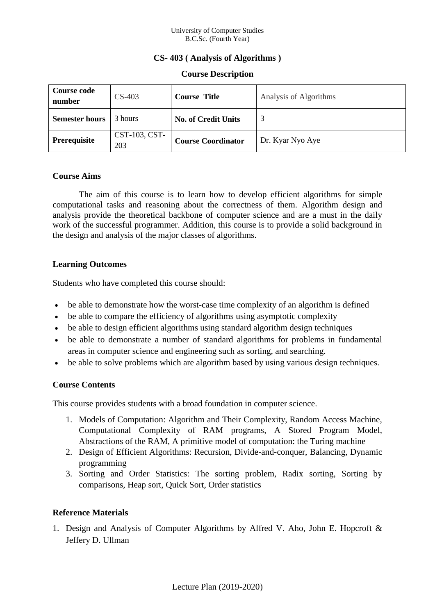#### University of Computer Studies B.C.Sc. (Fourth Year)

## **CS- 403 ( Analysis of Algorithms )**

#### **Course Description**

| <b>Course code</b><br>number | $CS-403$             | <b>Course Title</b>        | Analysis of Algorithms |
|------------------------------|----------------------|----------------------------|------------------------|
| <b>Semester hours</b>        | 3 hours              | <b>No. of Credit Units</b> | 2                      |
| Prerequisite                 | CST-103, CST-<br>203 | <b>Course Coordinator</b>  | Dr. Kyar Nyo Aye       |

### **Course Aims**

The aim of this course is to learn how to develop efficient algorithms for simple computational tasks and reasoning about the correctness of them. Algorithm design and analysis provide the theoretical backbone of computer science and are a must in the daily work of the successful programmer. Addition, this course is to provide a solid background in the design and analysis of the major classes of algorithms.

### **Learning Outcomes**

Students who have completed this course should:

- be able to demonstrate how the worst-case time complexity of an algorithm is defined
- be able to compare the efficiency of algorithms using asymptotic complexity
- be able to design efficient algorithms using standard algorithm design techniques
- be able to demonstrate a number of standard algorithms for problems in fundamental areas in computer science and engineering such as sorting, and searching.
- be able to solve problems which are algorithm based by using various design techniques.

### **Course Contents**

This course provides students with a broad foundation in computer science.

- 1. Models of Computation: Algorithm and Their Complexity, Random Access Machine, Computational Complexity of RAM programs, A Stored Program Model, Abstractions of the RAM, A primitive model of computation: the Turing machine
- 2. Design of Efficient Algorithms: Recursion, Divide-and-conquer, Balancing, Dynamic programming
- 3. Sorting and Order Statistics: The sorting problem, Radix sorting, Sorting by comparisons, Heap sort, Quick Sort, Order statistics

# **Reference Materials**

1. Design and Analysis of Computer Algorithms by Alfred V. Aho, John E. Hopcroft & Jeffery D. Ullman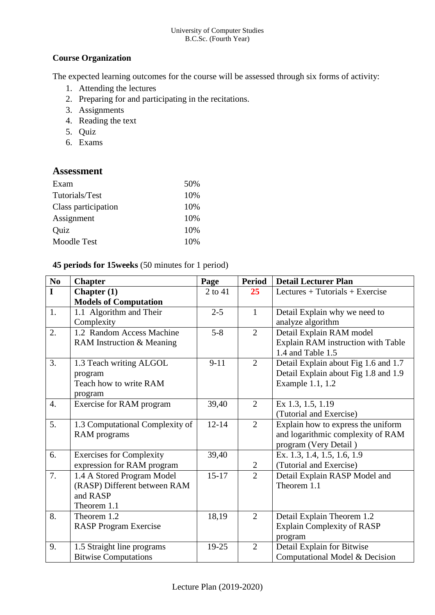## **Course Organization**

The expected learning outcomes for the course will be assessed through six forms of activity:

- 1. Attending the lectures
- 2. Preparing for and participating in the recitations.
- 3. Assignments
- 4. Reading the text
- 5. Quiz
- 6. Exams

# **Assessment**

| Exam                | 50% |
|---------------------|-----|
| Tutorials/Test      | 10% |
| Class participation | 10% |
| Assignment          | 10% |
| Quiz                | 10% |
| Moodle Test         | 10% |

## **45 periods for 15weeks** (50 minutes for 1 period)

| N <sub>0</sub>   | <b>Chapter</b>                  | Page      | <b>Period</b>  | <b>Detail Lecturer Plan</b>          |
|------------------|---------------------------------|-----------|----------------|--------------------------------------|
| $\mathbf I$      | Chapter $(1)$                   | 2 to 41   | 25             | Lectures $+$ Tutorials $+$ Exercise  |
|                  | <b>Models of Computation</b>    |           |                |                                      |
| 1.               | 1.1 Algorithm and Their         | $2 - 5$   | $\mathbf{1}$   | Detail Explain why we need to        |
|                  | Complexity                      |           |                | analyze algorithm                    |
| 2.               | 1.2 Random Access Machine       |           | $\overline{2}$ | Detail Explain RAM model             |
|                  | RAM Instruction & Meaning       |           |                | Explain RAM instruction with Table   |
|                  |                                 |           |                | 1.4 and Table 1.5                    |
| 3.               | 1.3 Teach writing ALGOL         | $9 - 11$  | $\overline{2}$ | Detail Explain about Fig 1.6 and 1.7 |
|                  | program                         |           |                | Detail Explain about Fig 1.8 and 1.9 |
|                  | Teach how to write RAM          |           |                | Example 1.1, 1.2                     |
|                  | program                         |           |                |                                      |
| $\overline{4}$ . | Exercise for RAM program        | 39,40     | $\overline{2}$ | Ex 1.3, 1.5, 1.19                    |
|                  |                                 |           |                | (Tutorial and Exercise)              |
| 5.               | 1.3 Computational Complexity of | $12 - 14$ | $\overline{2}$ | Explain how to express the uniform   |
|                  | RAM programs                    |           |                | and logarithmic complexity of RAM    |
|                  |                                 |           |                | program (Very Detail)                |
| 6.               | <b>Exercises for Complexity</b> | 39,40     |                | Ex. 1.3, 1.4, 1.5, 1.6, 1.9          |
|                  | expression for RAM program      |           | $\overline{2}$ | (Tutorial and Exercise)              |
| 7.               | 1.4 A Stored Program Model      | $15 - 17$ | $\overline{2}$ | Detail Explain RASP Model and        |
|                  | (RASP) Different between RAM    |           |                | Theorem 1.1                          |
|                  | and RASP                        |           |                |                                      |
|                  | Theorem 1.1                     |           |                |                                      |
| 8.               | Theorem 1.2                     | 18,19     | $\overline{2}$ | Detail Explain Theorem 1.2           |
|                  | <b>RASP Program Exercise</b>    |           |                | <b>Explain Complexity of RASP</b>    |
|                  |                                 |           |                | program                              |
| 9.               | 1.5 Straight line programs      | 19-25     | $\overline{2}$ | Detail Explain for Bitwise           |
|                  | <b>Bitwise Computations</b>     |           |                | Computational Model & Decision       |